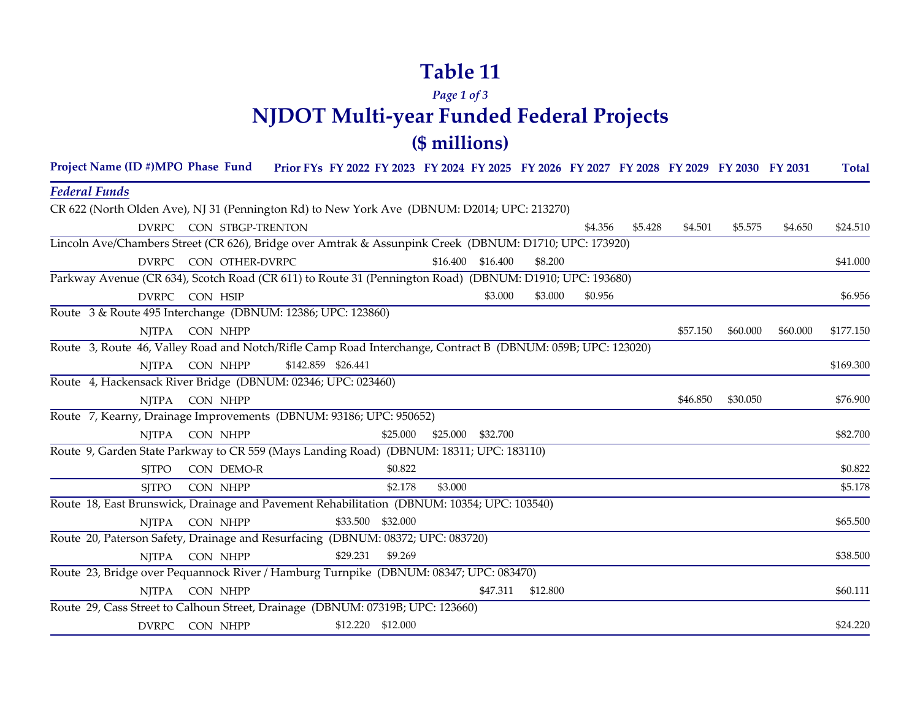# **Table 11**

## *Page 1 of 3* **NJDOT Multi-year Funded Federal Projects (\$ millions)**

| Project Name (ID #)MPO Phase Fund Prior FYs FY 2022 FY 2023 FY 2024 FY 2025 FY 2026 FY 2027 FY 2028 FY 2029 FY 2030 FY 2031 |                         |                    |                   |         |                   |          |         |         |          |          |          | <b>Total</b> |
|-----------------------------------------------------------------------------------------------------------------------------|-------------------------|--------------------|-------------------|---------|-------------------|----------|---------|---------|----------|----------|----------|--------------|
| <b>Federal Funds</b>                                                                                                        |                         |                    |                   |         |                   |          |         |         |          |          |          |              |
| CR 622 (North Olden Ave), NJ 31 (Pennington Rd) to New York Ave (DBNUM: D2014; UPC: 213270)                                 |                         |                    |                   |         |                   |          |         |         |          |          |          |              |
|                                                                                                                             | DVRPC CON STBGP-TRENTON |                    |                   |         |                   |          | \$4.356 | \$5.428 | \$4.501  | \$5.575  | \$4.650  | \$24.510     |
| Lincoln Ave/Chambers Street (CR 626), Bridge over Amtrak & Assunpink Creek (DBNUM: D1710; UPC: 173920)                      |                         |                    |                   |         |                   |          |         |         |          |          |          |              |
| <b>DVRPC</b>                                                                                                                | CON OTHER-DVRPC         |                    |                   |         | \$16.400 \$16.400 | \$8,200  |         |         |          |          |          | \$41.000     |
| Parkway Avenue (CR 634), Scotch Road (CR 611) to Route 31 (Pennington Road) (DBNUM: D1910; UPC: 193680)                     |                         |                    |                   |         |                   |          |         |         |          |          |          |              |
|                                                                                                                             | DVRPC CON HSIP          |                    |                   |         | \$3.000           | \$3.000  | \$0.956 |         |          |          |          | \$6.956      |
| Route 3 & Route 495 Interchange (DBNUM: 12386; UPC: 123860)                                                                 |                         |                    |                   |         |                   |          |         |         |          |          |          |              |
| <b>NJTPA</b>                                                                                                                | CON NHPP                |                    |                   |         |                   |          |         |         | \$57.150 | \$60.000 | \$60.000 | \$177.150    |
| Route 3, Route 46, Valley Road and Notch/Rifle Camp Road Interchange, Contract B (DBNUM: 059B; UPC: 123020)                 |                         |                    |                   |         |                   |          |         |         |          |          |          |              |
|                                                                                                                             | NJTPA CON NHPP          | \$142.859 \$26.441 |                   |         |                   |          |         |         |          |          |          | \$169.300    |
| Route 4, Hackensack River Bridge (DBNUM: 02346; UPC: 023460)                                                                |                         |                    |                   |         |                   |          |         |         |          |          |          |              |
| NITPA                                                                                                                       | CON NHPP                |                    |                   |         |                   |          |         |         | \$46.850 | \$30.050 |          | \$76.900     |
| Route 7, Kearny, Drainage Improvements (DBNUM: 93186; UPC: 950652)                                                          |                         |                    |                   |         |                   |          |         |         |          |          |          |              |
|                                                                                                                             | NJTPA CON NHPP          |                    | \$25.000          |         | \$25.000 \$32.700 |          |         |         |          |          |          | \$82.700     |
| Route 9, Garden State Parkway to CR 559 (Mays Landing Road) (DBNUM: 18311; UPC: 183110)                                     |                         |                    |                   |         |                   |          |         |         |          |          |          |              |
| <b>SITPO</b>                                                                                                                | CON DEMO-R              |                    | \$0.822           |         |                   |          |         |         |          |          |          | \$0.822      |
| <b>SITPO</b>                                                                                                                | CON NHPP                |                    | \$2.178           | \$3.000 |                   |          |         |         |          |          |          | \$5.178      |
| Route 18, East Brunswick, Drainage and Pavement Rehabilitation (DBNUM: 10354; UPC: 103540)                                  |                         |                    |                   |         |                   |          |         |         |          |          |          |              |
| <b>NJTPA</b>                                                                                                                | CON NHPP                |                    | \$33.500 \$32.000 |         |                   |          |         |         |          |          |          | \$65.500     |
| Route 20, Paterson Safety, Drainage and Resurfacing (DBNUM: 08372; UPC: 083720)                                             |                         |                    |                   |         |                   |          |         |         |          |          |          |              |
|                                                                                                                             | NJTPA CON NHPP          | \$29.231           | \$9.269           |         |                   |          |         |         |          |          |          | \$38.500     |
| Route 23, Bridge over Pequannock River / Hamburg Turnpike (DBNUM: 08347; UPC: 083470)                                       |                         |                    |                   |         |                   |          |         |         |          |          |          |              |
| <b>NJTPA</b>                                                                                                                | CON NHPP                |                    |                   |         | \$47.311          | \$12.800 |         |         |          |          |          | \$60.111     |
| Route 29, Cass Street to Calhoun Street, Drainage (DBNUM: 07319B; UPC: 123660)                                              |                         |                    |                   |         |                   |          |         |         |          |          |          |              |
|                                                                                                                             | DVRPC CON NHPP          |                    | \$12.220 \$12.000 |         |                   |          |         |         |          |          |          | \$24.220     |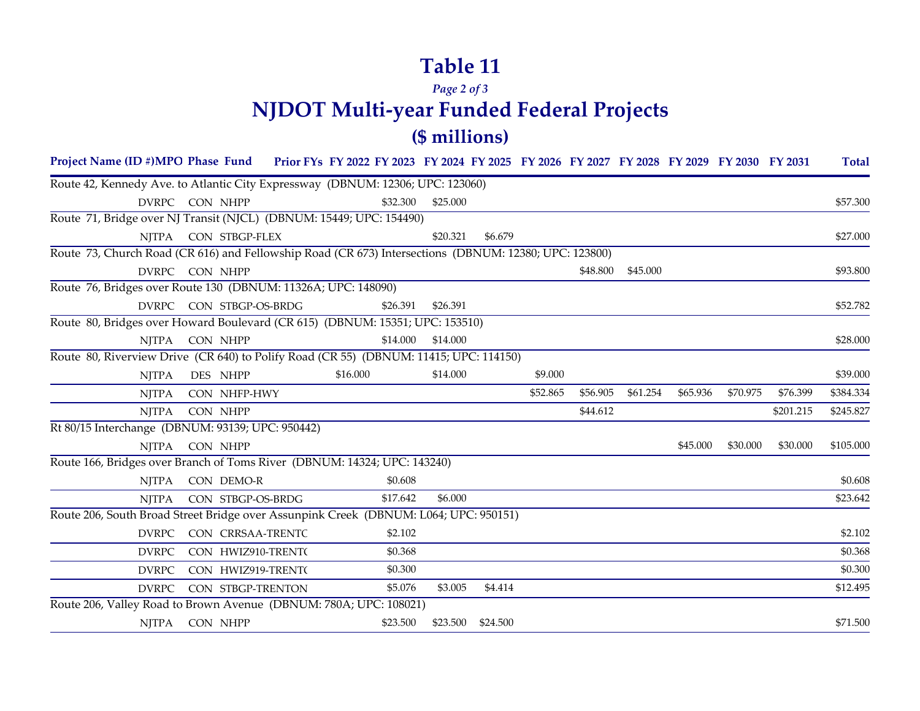### **Table 11**

#### *Page 2 of 3* **NJDOT Multi-year Funded Federal Projects (\$ millions)**

#### DVRPC CON CRRSAA-TRENTC \$2.102 \$2.102 DVRPC CON HWIZ910-TRENT( \$0.368 \$0.368 \$0.368 \$0.368 \$0.368 \$0.368 \$0.368 \$1.368 \$1.368 \$1.368 \$1.368 \$1.368 \$ DVRPC CON HWIZ919-TRENT( \$0.300 \$0.300 \$0.300 \$0.300 \$0.300 \$0.300 \$0.300 \$0.300 \$0.300 \$0.300 \$0.300 \$0.300 \$ Project Name (ID #)MPO Phase Fund Prior FYs FY 2022 FY 2023 FY 2024 FY 2025 FY 2026 FY 2027 FY 2028 FY 2029 FY 2030 FY 2031 Total DVRPC CON NHPP \$32.300 \$25.000 \$25.000 \$25.000 \$25.000 \$57.300 NJTPA CON STBGP-FLEX \$20.321 \$6.679 \$27.000 DVRPC CON NHPP \$48.800 \$93.800 \$93.800 \$15.000 \$93.800 \$45.000 \$93.800 \$93.800 \$93.800 \$93.800 \$93.800 \$93.800 DVRPC STBGP-OS-BRDG \$26.391 \$26.391 \$52.782 CON NJTPA CONNHPP \$14.000 \$14.000 \$14.000 \$14.000 \$14.000 \$14.000 \$28.000 NJTPA DES NHPP \$16.000 \$14.000 \$9.000 \$9.000 \$9.000 \$9.000 \$39.000 NJTPA NHFP-HWY \$52.865 \$56.905 \$61.254 \$65.936 \$70.975 \$76.399 \$384.334 CON NJTPA CONNHPP \$44.612 \$201.215 \$245.827 NJTPA NHPP \$45.000 \$30.000 \$30.000 \$105.000 CON NJTPA CON DEMO-R \$0.608 \$0.608 \$0.608 \$0.608 \$0.608 \$0.608 \$1.608 \$1.608 \$1.608 \$1.608 \$1.608 NJTPA CON STBGP-OS-BRDG \$17.642 \$6.000 \$23.642 DVRPC STBGP-TRENTON \$5.076 \$3.005 \$4.414 \$12.495 CON Route 42, Kennedy Ave. to Atlantic City Expressway (DBNUM: 12306; UPC: 123060) Route 71, Bridge over NJ Transit (NJCL) (DBNUM: 15449; UPC: 154490) Route 73, Church Road (CR 616) and Fellowship Road (CR 673) Intersections (DBNUM: 12380; UPC: 123800) Route 76, Bridges over Route 130 (DBNUM: 11326A; UPC: 148090) Route 80, Bridges over Howard Boulevard (CR 615) (DBNUM: 15351; UPC: 153510) Route 80, Riverview Drive (CR 640) to Polify Road (CR 55) (DBNUM: 11415; UPC: 114150) Rt 80/15 Interchange (DBNUM: 93139; UPC: 950442) Route 166, Bridges over Branch of Toms River (DBNUM: 14324; UPC: 143240) Route 206, South Broad Street Bridge over Assunpink Creek (DBNUM: L064; UPC: 950151) Route 206, Valley Road to Brown Avenue (DBNUM: 780A; UPC: 108021)

NJTPA NHPP \$23.500 \$23.500 \$24.500 \$71.500 CON